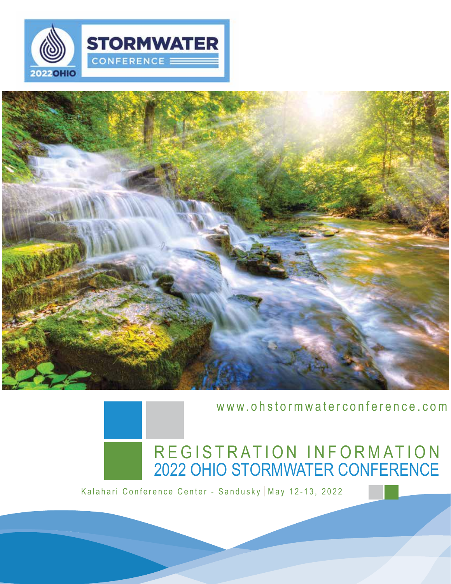



www.ohstormwaterconference.com

# REGISTRATION INFORMATION 2022 OHIO STORMWATER CONFERENCE

Kalahari Conference Center - Sandusky | May 12-13, 2022

2022 OHIO STORMWATER CONFERENCE 1 WWW.OHSTORMWATERCONFERENCE.COM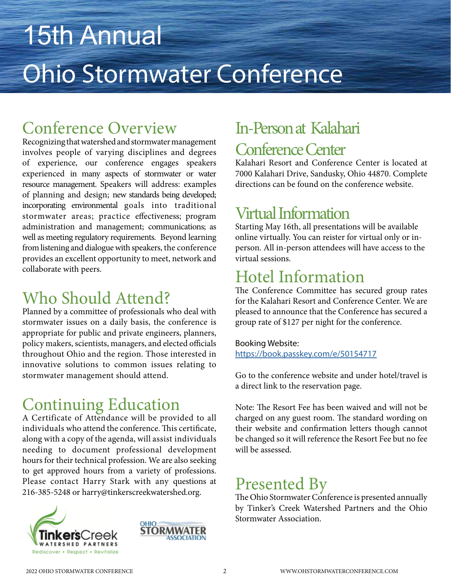# Ohio Stormwater Conference 15th Annual

# Conference Overview

Recognizing that watershed and stormwater management involves people of varying disciplines and degrees of experience, our conference engages speakers experienced in many aspects of stormwater or water resource management. Speakers will address: examples of planning and design; new standards being developed; incorporating environmental goals into traditional stormwater areas; practice effectiveness; program administration and management; communications; as well as meeting regulatory requirements. Beyond learning from listening and dialogue with speakers, the conference provides an excellent opportunity to meet, network and collaborate with peers.

# Who Should Attend?

Planned by a committee of professionals who deal with stormwater issues on a daily basis, the conference is appropriate for public and private engineers, planners, policy makers, scientists, managers, and elected officials throughout Ohio and the region. Those interested in innovative solutions to common issues relating to stormwater management should attend.

# Continuing Education

A Certificate of Attendance will be provided to all individuals who attend the conference. This certificate, along with a copy of the agenda, will assist individuals needing to document professional development hours for their technical profession. We are also seeking to get approved hours from a variety of professions. Please contact Harry Stark with any questions at 216-385-5248 or harry@tinkerscreekwatershed.org.





# In-Person at Kalahari

# Conference Center

Kalahari Resort and Conference Center is located at 7000 Kalahari Drive, Sandusky, Ohio 44870. Complete directions can be found on the conference website.

# Virtual Information

Starting May 16th, all presentations will be available online virtually. You can reister for virtual only or inperson. All in-person attendees will have access to the virtual sessions.

# Hotel Information

The Conference Committee has secured group rates for the Kalahari Resort and Conference Center. We are pleased to announce that the Conference has secured a group rate of \$127 per night for the conference.

### Booking Website:

https://book.passkey.com/e/50154717

Go to the conference website and under hotel/travel is a direct link to the reservation page.

Note: The Resort Fee has been waived and will not be charged on any guest room. The standard wording on their website and confirmation letters though cannot be changed so it will reference the Resort Fee but no fee will be assessed.

# Presented By

The Ohio Stormwater Conference is presented annually by Tinker's Creek Watershed Partners and the Ohio Stormwater Association.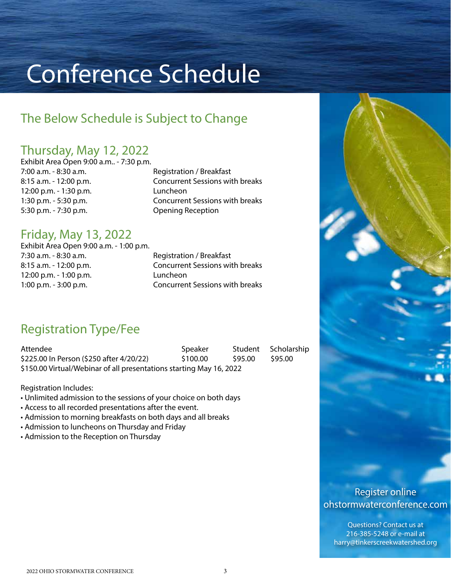# Conference Schedule

# The Below Schedule is Subject to Change

# Thursday, May 12, 2022

Exhibit Area Open 9:00 a.m.. - 7:30 p.m. 7:00 a.m. - 8:30 a.m. Registration / Breakfast 8:15 a.m. - 12:00 p.m. Concurrent Sessions with breaks 12:00 p.m. - 1:30 p.m. Luncheon 1:30 p.m. - 5:30 p.m. Concurrent Sessions with breaks 5:30 p.m. - 7:30 p.m. Opening Reception

# Friday, May 13, 2022

Exhibit Area Open 9:00 a.m. - 1:00 p.m. 7:30 a.m. - 8:30 a.m. Registration / Breakfast 8:15 a.m. - 12:00 p.m. Concurrent Sessions with breaks 12:00 p.m. - 1:00 p.m. Luncheon 1:00 p.m. - 3:00 p.m. Concurrent Sessions with breaks

# Registration Type/Fee

| Attendee                                                            | Speaker  |         | Student Scholarship |
|---------------------------------------------------------------------|----------|---------|---------------------|
| \$225.00 In Person (\$250 after 4/20/22)                            | \$100.00 | \$95.00 | S95.00              |
| \$150.00 Virtual/Webinar of all presentations starting May 16, 2022 |          |         |                     |

#### Registration Includes:

- Unlimited admission to the sessions of your choice on both days
- Access to all recorded presentations after the event.
- Admission to morning breakfasts on both days and all breaks
- Admission to luncheons on Thursday and Friday
- Admission to the Reception on Thursday

## Register online ohstormwaterconference.com

Questions? Contact us at 216-385-5248 or e-mail at harry@tinkerscreekwatershed.org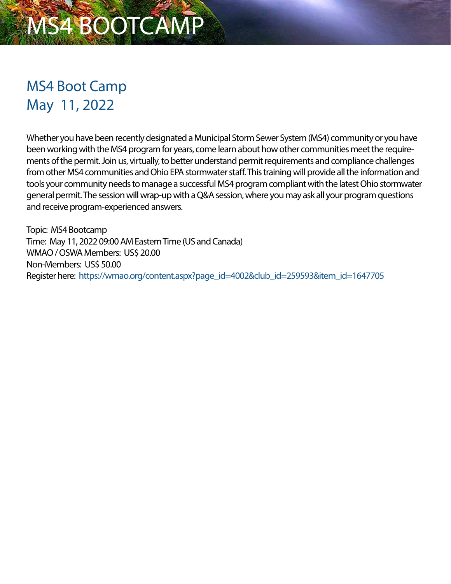# MS4 Boot Camp May 11, 2022

Whether you have been recently designated a Municipal Storm Sewer System (MS4) community or you have been working with the MS4 program for years, come learn about how other communities meet the requirements of the permit. Join us, virtually, to better understand permit requirements and compliance challenges from other MS4 communities and Ohio EPA stormwater staff. This training will provide all the information and tools your community needs to manage a successful MS4 program compliant with the latest Ohio stormwater general permit. The session will wrap-up with a Q&A session, where you may ask all your program questions and receive program-experienced answers.

Topic: MS4 Bootcamp Time: May 11, 2022 09:00 AM Eastern Time (US and Canada) WMAO / OSWA Members: US\$ 20.00 Non-Members: US\$ 50.00 Register here: https://wmao.org/content.aspx?page\_id=4002&club\_id=259593&item\_id=1647705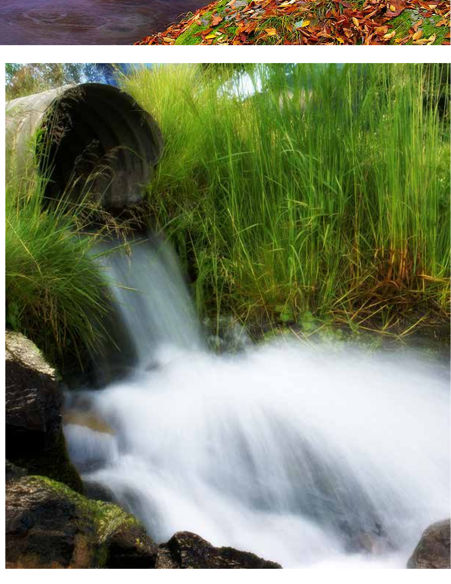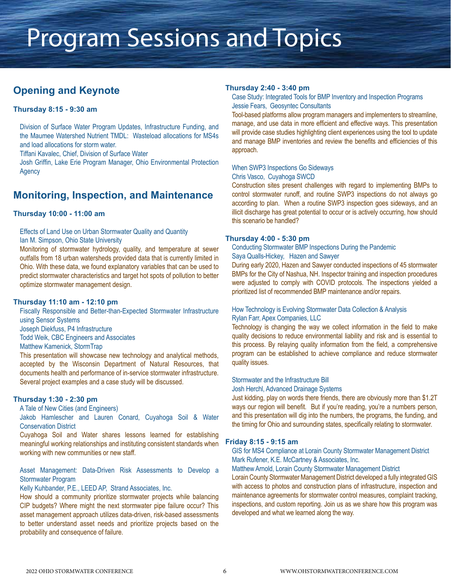# Program Sessions and Topics

## **Opening and Keynote**

#### **Thursday 8:15 - 9:30 am**

Division of Surface Water Program Updates, Infrastructure Funding, and the Maumee Watershed Nutrient TMDL: Wasteload allocations for MS4s and load allocations for storm water.

Tiffani Kavalec, Chief, Division of Surface Water

Josh Griffin, Lake Erie Program Manager, Ohio Environmental Protection Agency

### **Monitoring, Inspection, and Maintenance**

#### **Thursday 10:00 - 11:00 am**

Effects of Land Use on Urban Stormwater Quality and Quantity

Ian M. Simpson, Ohio State University

Monitoring of stormwater hydrology, quality, and temperature at sewer outfalls from 18 urban watersheds provided data that is currently limited in Ohio. With these data, we found explanatory variables that can be used to predict stormwater characteristics and target hot spots of pollution to better optimize stormwater management design.

#### **Thursday 11:10 am - 12:10 pm**

Fiscally Responsible and Better-than-Expected Stormwater Infrastructure using Sensor Systems

Joseph Diekfuss, P4 Infrastructure

Todd Weik, CBC Engineers and Associates

Matthew Kamenick, StormTrap

This presentation will showcase new technology and analytical methods, accepted by the Wisconsin Department of Natural Resources, that documents health and performance of in-service stormwater infrastructure. Several project examples and a case study will be discussed.

#### **Thursday 1:30 - 2:30 pm**

A Tale of New Cities (and Engineers)

Jakob Hamlescher and Lauren Conard, Cuyahoga Soil & Water Conservation District

Cuyahoga Soil and Water shares lessons learned for establishing meaningful working relationships and instituting consistent standards when working with new communities or new staff.

Asset Management: Data-Driven Risk Assessments to Develop a Stormwater Program

#### Kelly Kuhbander, P.E., LEED AP, Strand Associates, Inc.

How should a community prioritize stormwater projects while balancing CIP budgets? Where might the next stormwater pipe failure occur? This asset management approach utilizes data-driven, risk-based assessments to better understand asset needs and prioritize projects based on the probability and consequence of failure.

#### **Thursday 2:40 - 3:40 pm**

Case Study: Integrated Tools for BMP Inventory and Inspection Programs Jessie Fears, Geosyntec Consultants

Tool-based platforms allow program managers and implementers to streamline, manage, and use data in more efficient and effective ways. This presentation will provide case studies highlighting client experiences using the tool to update and manage BMP inventories and review the benefits and efficiencies of this approach.

#### When SWP3 Inspections Go Sideways

Chris Vasco, Cuyahoga SWCD

Construction sites present challenges with regard to implementing BMPs to control stormwater runoff, and routine SWP3 inspections do not always go according to plan. When a routine SWP3 inspection goes sideways, and an illicit discharge has great potential to occur or is actively occurring, how should this scenario be handled?

#### **Thursday 4:00 - 5:30 pm**

Conducting Stormwater BMP Inspections During the Pandemic

Saya Qualls-Hickey, Hazen and Sawyer

During early 2020, Hazen and Sawyer conducted inspections of 45 stormwater BMPs for the City of Nashua, NH. Inspector training and inspection procedures were adjusted to comply with COVID protocols. The inspections yielded a prioritized list of recommended BMP maintenance and/or repairs.

#### How Technology is Evolving Stormwater Data Collection & Analysis Rylan Farr, Apex Companies, LLC

Technology is changing the way we collect information in the field to make quality decisions to reduce environmental liability and risk and is essential to this process. By relaying quality information from the field, a comprehensive program can be established to achieve compliance and reduce stormwater quality issues.

#### Stormwater and the Infrastructure Bill

Josh Herchl, Advanced Drainage Systems

Just kidding, play on words there friends, there are obviously more than \$1.2T ways our region will benefit. But if you're reading, you're a numbers person, and this presentation will dig into the numbers, the programs, the funding, and the timing for Ohio and surrounding states, specifically relating to stormwater.

#### **Friday 8:15 - 9:15 am**

GIS for MS4 Compliance at Lorain County Stormwater Management District Mark Rufener, K.E. McCartney & Associates, Inc.

Matthew Arnold, Lorain County Stormwater Management District

Lorain County Stormwater Management District developed a fully integrated GIS with access to photos and construction plans of infrastructure, inspection and maintenance agreements for stormwater control measures, complaint tracking, inspections, and custom reporting. Join us as we share how this program was developed and what we learned along the way.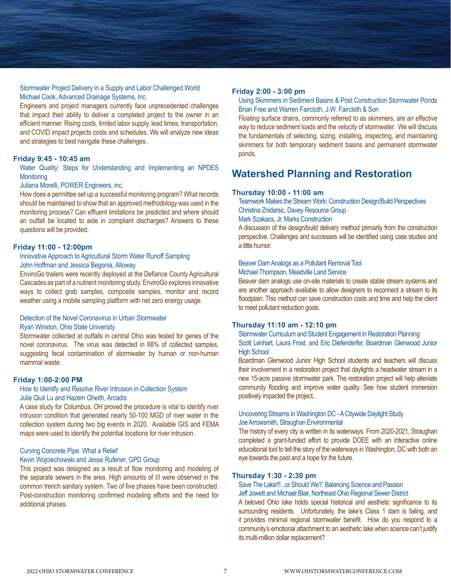Stormwater Project Delivery in a Supply and Labor Challenged World Michael Cook, Advanced Drainage Systems, Inc.

Engineers and project managers currently face unprecedented challenges that impact their ability to deliver a completed project to the owner in an efficient manner. Rising costs, limited labor supply, lead times, transportation, and COVID impact projects costs and schedules. We will analyze new ideas and strategies to best navigate these challenges..

#### **Friday 9:45 - 10:45 am**

Water Quality: Steps for Understanding and Implementing an NPDES **Monitoring** 

Juliana Morelli, POWER Engineers, inc.

How does a permittee set up a successful monitoring program? What records should be maintained to show that an approved methodology was used in the monitoring process? Can effluent limitations be predicted and where should an outfall be located to aide in compliant discharges? Answers to these questions will be provided.

#### **Friday 11:00 - 12:00pm**

Innovative Approach to Agricultural Storm Water Runoff Sampling John Hoffman and Jessica Begonia, Alloway

EnviroGo trailers were recently deployed at the Defiance County Agricultural Cascades as part of a nutrient monitoring study. EnviroGo explores innovative ways to collect grab samples, composite samples, monitor and record weather using a mobile sampling platform with net zero energy usage.

Detection of the Novel Coronavirus in Urban Stormwater

Ryan Winston, Ohio State University

Stormwater collected at outfalls in central Ohio was tested for genes of the novel coronavirus. The virus was detected in 88% of collected samples, suggesting fecal contamination of stormwater by human or non-human mammal waste.

#### **Friday 1:00-2:00 PM**

How to Identify and Resolve River Intrusion in Collection System Julie Qiuli Lu and Hazem Gheith, Arcadis

A case study for Columbus, OH proved the procedure is vital to identify river intrusion condition that generated nearly 50-100 MGD of river water in the collection system during two big events in 2020. Available GIS and FEMA maps were used to identify the potential locations for river intrusion.

#### Curving Concrete Pipe: What a Relief

Kevin Wojciechowski and Jesse Rufener, GPD Group

This project was designed as a result of flow monitoring and modeling of the separate sewers in the area. High amounts of I/I were observed in the common trench sanitary system. Two of five phases have been constructed. Post-construction monitoring confirmed modeling efforts and the need for additional phases.

#### **Friday 2:00 - 3:00 pm**

Using Skimmers in Sediment Basins & Post Construction Stormwater Ponds Brian Free and Warren Faircloth, J.W. Faircloth & Son

Floating surface drains, commonly referred to as skimmers, are an effective way to reduce sediment loads and the velocity of stormwater. We will discuss the fundamentals of selecting, sizing, installing, inspecting, and maintaining skimmers for both temporary sediment basins and permanent stormwater ponds.

### **Watershed Planning and Restoration**

#### **Thursday 10:00 - 11:00 am**

Teamwork Makes the Stream Work: Construction Design/Build Perspectives Christina Znidarsic, Davey Resource Group Mark Szakacs, Jr, Marks Construction

A discussion of the design/build delivery method primarily from the construction perspective. Challenges and successes will be identified using case studies and a little humor.

Beaver Dam Analogs as a Pollutant Removal Tool

Michael Thompson, Meadville Land Service

Beaver dam analogs use on-site materials to create stable stream systems and are another approach available to allow designers to reconnect a stream to its floodplain. This method can save construction costs and time and help the client to meet pollutant reduction goals.

#### **Thursday 11:10 am - 12:10 pm**

Stormwater Curriculum and Student Engagement in Restoration Planning Scott Lenhart, Laura Frost, and Eric Diefenderfer, Boardman Glenwood Junior High School

Boardman Glenwood Junior High School students and teachers will discuss their involvement in a restoration project that daylights a headwater stream in a new 15-acre passive stormwater park. The restoration project will help alleviate community flooding and improve water quality. See how student immersion positively impacted the project..

#### Uncovering Streams in Washington DC - A Citywide Daylight Study Joe Arrowsmith, Straughan Environmental

The history of every city is written in its waterways. From 2020-2021, Straughan completed a grant-funded effort to provide DOEE with an interactive online educational tool to tell the story of the waterways in Washington, DC with both an eye towards the past and a hope for the future.

#### **Thursday 1:30 - 2:30 pm**

Save The Lake!!!...or Should We?: Balancing Science and Passion Jeff Jowett and Michael Blair, Northeast Ohio Regional Sewer District

A beloved Ohio lake holds special historical and aesthetic significance to its surrounding residents. Unfortunately, the lake's Class 1 dam is failing, and it provides minimal regional stormwater benefit. How do you respond to a community's emotional attachment to an aesthetic lake when science can't justify its multi-million dollar replacement?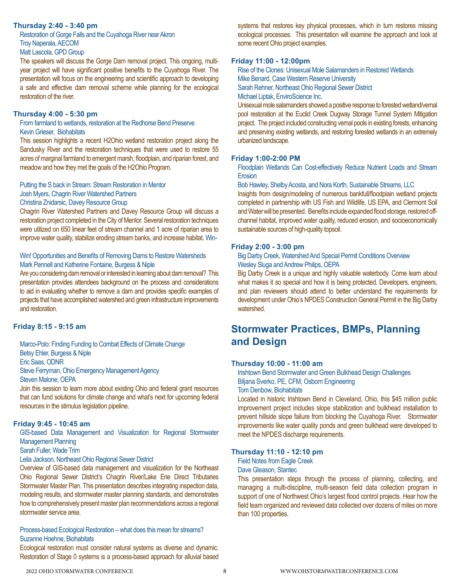#### **Thursday 2:40 - 3:40 pm**

Restoration of Gorge Falls and the Cuyahoga River near Akron Troy Naperala, AECOM Matt Lascola, GPD Group

The speakers will discuss the Gorge Dam removal project. This ongoing, multiyear project will have significant positive benefits to the Cuyahoga River. The presentation will focus on the engineering and scientific approach to developing a safe and effective dam removal scheme while planning for the ecological restoration of the river.

#### **Thursday 4:00 - 5:30 pm**

From farmland to wetlands, restoration at the Redhorse Bend Preserve Kevin Grieser, Biohabitats

This session highlights a recent H2Ohio wetland restoration project along the Sandusky River and the restoration techniques that were used to restore 55 acres of marginal farmland to emergent marsh, floodplain, and riparian forest, and meadow and how they met the goals of the H2Ohio Program.

Putting the S back in Stream: Stream Restoration in Mentor Josh Myers, Chagrin River Watershed Partners

Christina Znidarsic, Davey Resource Group

Chagrin River Watershed Partners and Davey Resource Group will discuss a restoration project completed in the City of Mentor. Several restoration techniques were utilized on 650 linear feet of stream channel and 1 acre of riparian area to improve water quality, stabilize eroding stream banks, and increase habitat. Win-

#### Win! Opportunities and Benefits of Removing Dams to Restore Watersheds Mark Pennell and Katherine Fontaine, Burgess & Niple

Are you considering dam removal or interested in learning about dam removal? This presentation provides attendees background on the process and considerations to aid in evaluating whether to remove a dam and provides specific examples of projects that have accomplished watershed and green infrastructure improvements and restoration.

#### **Friday 8:15 - 9:15 am**

Marco-Polo: Finding Funding to Combat Effects of Climate Change Betsy Ehler, Burgess & Niple Eric Saas, ODNR Steve Ferryman, Ohio Emergency Management Agency

Steven Malone, OEPA

Join this session to learn more about existing Ohio and federal grant resources that can fund solutions for climate change and what's next for upcoming federal resources in the stimulus legislation pipeline.

#### **Friday 9:45 - 10:45 am**

GIS-based Data Management and Visualization for Regional Stormwater Management Planning

Sarah Fuller, Wade Trim

Leila Jackson, Northeast Ohio Regional Sewer District

Overview of GIS-based data management and visualization for the Northeast Ohio Regional Sewer District's Chagrin River/Lake Erie Direct Tributaries Stormwater Master Plan. This presentation describes integrating inspection data, modeling results, and stormwater master planning standards, and demonstrates how to comprehensively present master plan recommendations across a regional stormwater service area.

Process-based Ecological Restoration – what does this mean for streams? Suzanne Hoehne, Biohabitats

Ecological restoration must consider natural systems as diverse and dynamic. Restoration of Stage 0 systems is a process-based approach for alluvial based systems that restores key physical processes, which in turn restores missing ecological processes. This presentation will examine the approach and look at some recent Ohio project examples.

#### **Friday 11:00 - 12:00pm**

Rise of the Clones: Unisexual Mole Salamanders in Restored Wetlands Mike Benard, Case Western Reserve University

Sarah Rehner, Northeast Ohio Regional Sewer District

Michael Liptak, EnviroScience Inc.

Unisexual mole salamanders showed a positive response to forested wetland/vernal pool restoration at the Euclid Creek Dugway Storage Tunnel System Mitigation project. The project included constructing vernal pools in existing forests, enhancing and preserving existing wetlands, and restoring forested wetlands in an extremely urbanized landscape.

#### **Friday 1:00-2:00 PM**

Floodplain Wetlands Can Cost-effectively Reduce Nutrient Loads and Stream Erosion

Bob Hawley, Shelby Acosta, and Nora Korth, Sustainable Streams, LLC

Insights from design/modeling of numerous bankfull/floodplain wetland projects completed in partnership with US Fish and Wildlife, US EPA, and Clermont Soil and Water will be presented. Benefits include expanded flood storage, restored offchannel habitat, improved water quality, reduced erosion, and socioeconomically sustainable sources of high-quality topsoil.

#### **Friday 2:00 - 3:00 pm**

Big Darby Creek, Watershed And Special Permit Conditions Overview Wesley Sluga and Andrew Philips, OEPA

Big Darby Creek is a unique and highly valuable waterbody. Come learn about what makes it so special and how it is being protected. Developers, engineers, and plan reviewers should attend to better understand the requirements for development under Ohio's NPDES Construction General Permit in the Big Darby watershed.

### **Stormwater Practices, BMPs, Planning and Design**

#### **Thursday 10:00 - 11:00 am**

Irishtown Bend Stormwater and Green Bulkhead Design Challenges Biljana Sverko, PE, CFM, Osborn Engineering

Tom Denbow, Biohabitats

Located in historic Irishtown Bend in Cleveland, Ohio, this \$45 million public improvement project includes slope stabilization and bulkhead installation to prevent hillside slope failure from blocking the Cuyahoga River. Stormwater improvements like water quality ponds and green bulkhead were developed to meet the NPDES discharge requirements.

#### **Thursday 11:10 - 12:10 pm**

Field Notes from Eagle Creek

Dave Gleason, Stantec

This presentation steps through the process of planning, collecting, and managing a multi-discipline, multi-season field data collection program in support of one of Northwest Ohio's largest flood control projects. Hear how the field team organized and reviewed data collected over dozens of miles on more than 100 properties.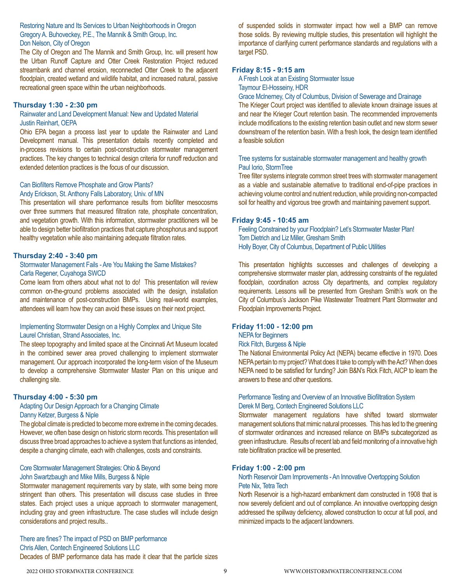Restoring Nature and Its Services to Urban Neighborhoods in Oregon Gregory A. Buhoveckey, P.E., The Mannik & Smith Group, Inc. Don Nelson, City of Oregon

The City of Oregon and The Mannik and Smith Group, Inc. will present how the Urban Runoff Capture and Otter Creek Restoration Project reduced streambank and channel erosion, reconnected Otter Creek to the adjacent floodplain, created wetland and wildlife habitat, and increased natural, passive recreational green space within the urban neighborhoods.

#### **Thursday 1:30 - 2:30 pm**

Rainwater and Land Development Manual: New and Updated Material Justin Reinhart, OEPA

Ohio EPA began a process last year to update the Rainwater and Land Development manual. This presentation details recently completed and in-process revisions to certain post-construction stormwater management practices. The key changes to technical design criteria for runoff reduction and extended detention practices is the focus of our discussion.

#### Can Biofilters Remove Phosphate and Grow Plants?

Andy Erickson, St. Anthony Falls Laboratory, Univ. of MN

This presentation will share performance results from biofilter mesocosms over three summers that measured filtration rate, phosphate concentration, and vegetation growth. With this information, stormwater practitioners will be able to design better biofiltration practices that capture phosphorus and support healthy vegetation while also maintaining adequate filtration rates.

#### **Thursday 2:40 - 3:40 pm**

Stormwater Management Fails - Are You Making the Same Mistakes? Carla Regener, Cuyahoga SWCD

Come learn from others about what not to do! This presentation will review common on-the-ground problems associated with the design, installation and maintenance of post-construction BMPs. Using real-world examples, attendees will learn how they can avoid these issues on their next project.

#### Implementing Stormwater Design on a Highly Complex and Unique Site Laurel Christian, Strand Associates, Inc.

The steep topography and limited space at the Cincinnati Art Museum located in the combined sewer area proved challenging to implement stormwater management. Our approach incorporated the long-term vision of the Museum to develop a comprehensive Stormwater Master Plan on this unique and challenging site.

#### **Thursday 4:00 - 5:30 pm**

Adapting Our Design Approach for a Changing Climate Danny Ketzer, Burgess & Niple

The global climate is predicted to become more extreme in the coming decades. However, we often base design on historic storm records. This presentation will discuss three broad approaches to achieve a system that functions as intended, despite a changing climate, each with challenges, costs and constraints.

#### Core Stormwater Management Strategies: Ohio & Beyond John Swartzbaugh and Mike Mills, Burgess & Niple

Stormwater management requirements vary by state, with some being more stringent than others. This presentation will discuss case studies in three states. Each project uses a unique approach to stormwater management, including gray and green infrastructure. The case studies will include design considerations and project results..

There are fines? The impact of PSD on BMP performance Chris Allen, Contech Engineered Solutions LLC Decades of BMP performance data has made it clear that the particle sizes of suspended solids in stormwater impact how well a BMP can remove those solids. By reviewing multiple studies, this presentation will highlight the importance of clarifying current performance standards and regulations with a target PSD.

#### **Friday 8:15 - 9:15 am**

A Fresh Look at an Existing Stormwater Issue

Taymour El-Hosseiny, HDR

Grace Mclnerney, City of Columbus, Division of Sewerage and Drainage The Krieger Court project was identified to alleviate known drainage issues at and near the Krieger Court retention basin. The recommended improvements include modifications to the existing retention basin outlet and new storm sewer downstream of the retention basin. With a fresh look, the design team identified a feasible solution

Tree systems for sustainable stormwater management and healthy growth Paul Iorio, StormTree

Tree filter systems integrate common street trees with stormwater management as a viable and sustainable alternative to traditional end-of-pipe practices in achieving volume control and nutrient reduction, while providing non-compacted soil for healthy and vigorous tree growth and maintaining pavement support.

#### **Friday 9:45 - 10:45 am**

Feeling Constrained by your Floodplain? Let's Stormwater Master Plan! Tom Dietrich and Liz Miller, Gresham Smith Holly Boyer, City of Columbus, Department of Public Utilities

This presentation highlights successes and challenges of developing a comprehensive stormwater master plan, addressing constraints of the regulated floodplain, coordination across City departments, and complex regulatory requirements. Lessons will be presented from Gresham Smith's work on the City of Columbus's Jackson Pike Wastewater Treatment Plant Stormwater and Floodplain Improvements Project.

#### **Friday 11:00 - 12:00 pm**

NEPA for Beginners

Rick Fitch, Burgess & Niple

The National Environmental Policy Act (NEPA) became effective in 1970. Does NEPA pertain to my project? What does it take to comply with the Act? When does NEPA need to be satisfied for funding? Join B&N's Rick Fitch, AICP to learn the answers to these and other questions.

#### Performance Testing and Overview of an Innovative Biofiltration System Derek M Berg, Contech Engineered Solutions LLC

Stormwater management regulations have shifted toward stormwater management solutions that mimic natural processes. This has led to the greening of stormwater ordinances and increased reliance on BMPs subcategorized as green infrastructure. Results of recent lab and field monitoring of a innovative high rate biofiltration practice will be presented.

#### **Friday 1:00 - 2:00 pm**

#### North Reservoir Dam Improvements - An Innovative Overtopping Solution Pete Nix, Tetra Tech

North Reservoir is a high-hazard embankment dam constructed in 1908 that is now severely deficient and out of compliance. An innovative overtopping design addressed the spillway deficiency, allowed construction to occur at full pool, and minimized impacts to the adjacent landowners.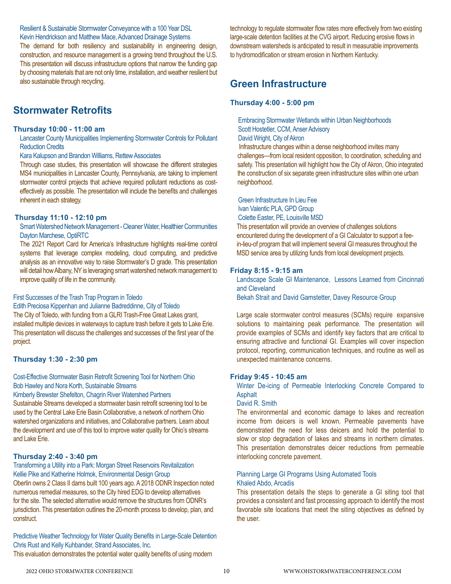Resilient & Sustainable Stormwater Conveyance with a 100 Year DSL Kevin Hendrickson and Matthew Mace, Advanced Drainage Systems The demand for both resiliency and sustainability in engineering design, construction, and resource management is a growing trend throughout the U.S. This presentation will discuss infrastructure options that narrow the funding gap by choosing materials that are not only time, installation, and weather resilient but also sustainable through recycling.

### **Stormwater Retrofits**

#### **Thursday 10:00 - 11:00 am**

Lancaster County Municipalities Implementing Stormwater Controls for Pollutant Reduction Credits

Kara Kalupson and Brandon Williams, Rettew Associates

Through case studies, this presentation will showcase the different strategies MS4 municipalities in Lancaster County, Pennsylvania, are taking to implement stormwater control projects that achieve required pollutant reductions as costeffectively as possible. The presentation will include the benefits and challenges inherent in each strategy.

#### **Thursday 11:10 - 12:10 pm**

Smart Watershed Network Management - Cleaner Water, Healthier Communities Dayton Marchese, OptiRTC

The 2021 Report Card for America's Infrastructure highlights real-time control systems that leverage complex modeling, cloud computing, and predictive analysis as an innovative way to raise Stormwater's D grade. This presentation will detail how Albany, NY is leveraging smart watershed network management to improve quality of life in the community.

#### First Successes of the Trash Trap Program in Toledo

Edith Preciosa Kippenhan and Julianne Badreddinne, City of Toledo The City of Toledo, with funding from a GLRI Trash-Free Great Lakes grant, installed multiple devices in waterways to capture trash before it gets to Lake Erie. This presentation will discuss the challenges and successes of the first year of the project.

#### **Thursday 1:30 - 2:30 pm**

Cost-Effective Stormwater Basin Retrofit Screening Tool for Northern Ohio Bob Hawley and Nora Korth, Sustainable Streams

Kimberly Brewster Shefelton, Chagrin River Watershed Partners Sustainable Streams developed a stormwater basin retrofit screening tool to be used by the Central Lake Erie Basin Collaborative, a network of northern Ohio watershed organizations and initiatives, and Collaborative partners. Learn about the development and use of this tool to improve water quality for Ohio's streams and Lake Erie.

#### **Thursday 2:40 - 3:40 pm**

Transforming a Utility into a Park: Morgan Street Reservoirs Revitalization Kellie Pike and Katherine Holmok, Environmental Design Group Oberlin owns 2 Class II dams built 100 years ago. A 2018 ODNR Inspection noted numerous remedial measures, so the City hired EDG to develop alternatives for the site. The selected alternative would remove the structures from ODNR's jurisdiction. This presentation outlines the 20-month process to develop, plan, and construct.

Predictive Weather Technology for Water Quality Benefits in Large-Scale Detention Chris Rust and Kelly Kuhbander, Strand Associates, Inc.

This evaluation demonstrates the potential water quality benefits of using modern

technology to regulate stormwater flow rates more effectively from two existing large-scale detention facilities at the CVG airport. Reducing erosive flows in downstream watersheds is anticipated to result in measurable improvements to hydromodification or stream erosion in Northern Kentucky.

### **Green Infrastructure**

#### **Thursday 4:00 - 5:00 pm**

Embracing Stormwater Wetlands within Urban Neighborhoods Scott Hostetler, CCM, Anser Advisory

David Wright, City of Akron

Infrastructure changes within a dense neighborhood invites many challenges—from local resident opposition, to coordination, scheduling and safety. This presentation will highlight how the City of Akron, Ohio integrated the construction of six separate green infrastructure sites within one urban neighborhood.

Green Infrastructure In Lieu Fee Ivan Valentic PLA, GPD Group Colette Easter, PE, Louisville MSD

This presentation will provide an overview of challenges solutions encountered during the development of a GI Calculator to support a feein-lieu-of program that will implement several GI measures throughout the MSD service area by utilizing funds from local development projects.

#### **Friday 8:15 - 9:15 am**

Landscape Scale GI Maintenance, Lessons Learned from Cincinnati and Cleveland

Bekah Strait and David Gamstetter, Davey Resource Group

Large scale stormwater control measures (SCMs) require expansive solutions to maintaining peak performance. The presentation will provide examples of SCMs and identify key factors that are critical to ensuring attractive and functional GI. Examples will cover inspection protocol, reporting, communication techniques, and routine as well as unexpected maintenance concerns.

#### **Friday 9:45 - 10:45 am**

Winter De-icing of Permeable Interlocking Concrete Compared to **Asphalt** 

#### David R. Smith

The environmental and economic damage to lakes and recreation income from deicers is well known. Permeable pavements have demonstrated the need for less deicers and hold the potential to slow or stop degradation of lakes and streams in northern climates. This presentation demonstrates deicer reductions from permeable interlocking concrete pavement.

### Planning Large GI Programs Using Automated Tools

Khaled Abdo, Arcadis

This presentation details the steps to generate a GI siting tool that provides a consistent and fast processing approach to identify the most favorable site locations that meet the siting objectives as defined by the user.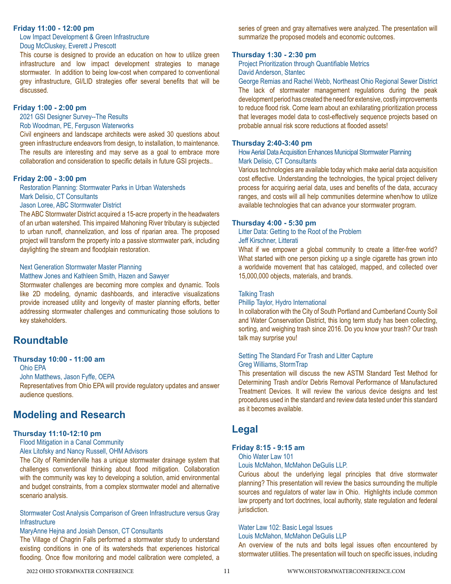#### **Friday 11:00 - 12:00 pm**

Low Impact Development & Green Infrastructure Doug McCluskey, Everett J Prescott

This course is designed to provide an education on how to utilize green infrastructure and low impact development strategies to manage stormwater. In addition to being low-cost when compared to conventional grey infrastructure, GI/LID strategies offer several benefits that will be discussed.

#### **Friday 1:00 - 2:00 pm**

2021 GSI Designer Survey--The Results

Rob Woodman, PE, Ferguson Waterworks

Civil engineers and landscape architects were asked 30 questions about green infrastructure endeavors from design, to installation, to maintenance. The results are interesting and may serve as a goal to embrace more collaboration and consideration to specific details in future GSI projects..

#### **Friday 2:00 - 3:00 pm**

Restoration Planning: Stormwater Parks in Urban Watersheds Mark Delisio, CT Consultants

Jason Loree, ABC Stormwater District

The ABC Stormwater District acquired a 15-acre property in the headwaters of an urban watershed. This impaired Mahoning River tributary is subjected to urban runoff, channelization, and loss of riparian area. The proposed project will transform the property into a passive stormwater park, including daylighting the stream and floodplain restoration.

#### Next Generation Stormwater Master Planning

Matthew Jones and Kathleen Smith, Hazen and Sawyer

Stormwater challenges are becoming more complex and dynamic. Tools like 2D modeling, dynamic dashboards, and interactive visualizations provide increased utility and longevity of master planning efforts, better addressing stormwater challenges and communicating those solutions to key stakeholders.

### **Roundtable**

#### **Thursday 10:00 - 11:00 am**

Ohio EPA

John Matthews, Jason Fyffe, OEPA

Representatives from Ohio EPA will provide regulatory updates and answer audience questions.

### **Modeling and Research**

#### **Thursday 11:10-12:10 pm**

Flood Mitigation in a Canal Community

Alex Litofsky and Nancy Russell, OHM Advisors

The City of Reminderville has a unique stormwater drainage system that challenges conventional thinking about flood mitigation. Collaboration with the community was key to developing a solution, amid environmental and budget constraints, from a complex stormwater model and alternative scenario analysis.

Stormwater Cost Analysis Comparison of Green Infrastructure versus Gray **Infrastructure** 

MaryAnne Hejna and Josiah Denson, CT Consultants

The Village of Chagrin Falls performed a stormwater study to understand existing conditions in one of its watersheds that experiences historical flooding. Once flow monitoring and model calibration were completed, a series of green and gray alternatives were analyzed. The presentation will summarize the proposed models and economic outcomes.

#### **Thursday 1:30 - 2:30 pm**

Project Prioritization through Quantifiable Metrics David Anderson, Stantec

George Remias and Rachel Webb, Northeast Ohio Regional Sewer District The lack of stormwater management regulations during the peak development period has created the need for extensive, costly improvements to reduce flood risk. Come learn about an exhilarating prioritization process that leverages model data to cost-effectively sequence projects based on probable annual risk score reductions at flooded assets!

#### **Thursday 2:40-3:40 pm**

How Aerial Data Acquisition Enhances Municipal Stormwater Planning Mark Delisio, CT Consultants

Various technologies are available today which make aerial data acquisition cost effective. Understanding the technologies, the typical project delivery process for acquiring aerial data, uses and benefits of the data, accuracy ranges, and costs will all help communities determine when/how to utilize available technologies that can advance your stormwater program.

#### **Thursday 4:00 - 5:30 pm**

Litter Data: Getting to the Root of the Problem Jeff Kirschner, Litterati

What if we empower a global community to create a litter-free world? What started with one person picking up a single cigarette has grown into a worldwide movement that has cataloged, mapped, and collected over 15,000,000 objects, materials, and brands.

#### Talking Trash

Phillip Taylor, Hydro International

In collaboration with the City of South Portland and Cumberland County Soil and Water Conservation District, this long term study has been collecting, sorting, and weighing trash since 2016. Do you know your trash? Our trash talk may surprise you!

#### Setting The Standard For Trash and Litter Capture

#### Greg Williams, StormTrap

This presentation will discuss the new ASTM Standard Test Method for Determining Trash and/or Debris Removal Performance of Manufactured Treatment Devices. It will review the various device designs and test procedures used in the standard and review data tested under this standard as it becomes available.

### **Legal**

#### **Friday 8:15 - 9:15 am**

Ohio Water Law 101

Louis McMahon, McMahon DeGulis LLP.

Curious about the underlying legal principles that drive stormwater planning? This presentation will review the basics surrounding the multiple sources and regulators of water law in Ohio. Highlights include common law property and tort doctrines, local authority, state regulation and federal jurisdiction.

#### Water Law 102: Basic Legal Issues

Louis McMahon, McMahon DeGulis LLP

An overview of the nuts and bolts legal issues often encountered by stormwater utilities. The presentation will touch on specific issues, including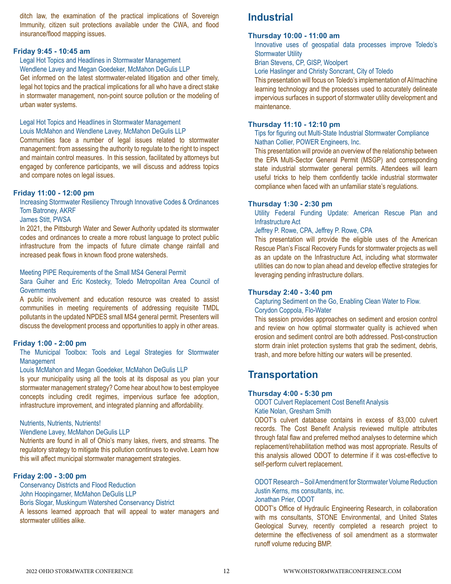ditch law, the examination of the practical implications of Sovereign Immunity, citizen suit protections available under the CWA, and flood insurance/flood mapping issues.

#### **Friday 9:45 - 10:45 am**

Legal Hot Topics and Headlines in Stormwater Management

Wendlene Lavey and Megan Goedeker, McMahon DeGulis LLP

Get informed on the latest stormwater-related litigation and other timely, legal hot topics and the practical implications for all who have a direct stake in stormwater management, non-point source pollution or the modeling of urban water systems.

Legal Hot Topics and Headlines in Stormwater Management

Louis McMahon and Wendlene Lavey, McMahon DeGulis LLP

Communities face a number of legal issues related to stormwater management: from assessing the authority to regulate to the right to inspect and maintain control measures. In this session, facilitated by attorneys but engaged by conference participants, we will discuss and address topics and compare notes on legal issues.

#### **Friday 11:00 - 12:00 pm**

Increasing Stormwater Resiliency Through Innovative Codes & Ordinances Tom Batroney, AKRF

James Stitt, PWSA

In 2021, the Pittsburgh Water and Sewer Authority updated its stormwater codes and ordinances to create a more robust language to protect public infrastructure from the impacts of future climate change rainfall and increased peak flows in known flood prone watersheds.

Meeting PIPE Requirements of the Small MS4 General Permit

Sara Guiher and Eric Kostecky, Toledo Metropolitan Area Council of **Governments** 

A public involvement and education resource was created to assist communities in meeting requirements of addressing requisite TMDL pollutants in the updated NPDES small MS4 general permit. Presenters will discuss the development process and opportunities to apply in other areas.

#### **Friday 1:00 - 2:00 pm**

The Municipal Toolbox: Tools and Legal Strategies for Stormwater Management

Louis McMahon and Megan Goedeker, McMahon DeGulis LLP

Is your municipality using all the tools at its disposal as you plan your stormwater management strategy? Come hear about how to best employee concepts including credit regimes, impervious surface fee adoption, infrastructure improvement, and integrated planning and affordability.

#### Nutrients, Nutrients, Nutrients!

Wendlene Lavey, McMahon DeGulis LLP

Nutrients are found in all of Ohio's many lakes, rivers, and streams. The regulatory strategy to mitigate this pollution continues to evolve. Learn how this will affect municipal stormwater management strategies.

#### **Friday 2:00 - 3:00 pm**

Conservancy Districts and Flood Reduction John Hoopingarner, McMahon DeGulis LLP Boris Slogar, Muskingum Watershed Conservancy District A lessons learned approach that will appeal to water managers and stormwater utilities alike.

### **Industrial**

#### **Thursday 10:00 - 11:00 am**

Innovative uses of geospatial data processes improve Toledo's Stormwater Utility

Brian Stevens, CP, GISP, Woolpert

Lorie Haslinger and Christy Soncrant, City of Toledo

This presentation will focus on Toledo's implementation of AI/machine learning technology and the processes used to accurately delineate impervious surfaces in support of stormwater utility development and maintenance.

#### **Thursday 11:10 - 12:10 pm**

Tips for figuring out Multi-State Industrial Stormwater Compliance Nathan Collier, POWER Engineers, Inc.

This presentation will provide an overview of the relationship between the EPA Multi-Sector General Permit (MSGP) and corresponding state industrial stormwater general permits. Attendees will learn useful tricks to help them confidently tackle industrial stormwater compliance when faced with an unfamiliar state's regulations.

#### **Thursday 1:30 - 2:30 pm**

Utility Federal Funding Update: American Rescue Plan and Infrastructure Act

Jeffrey P. Rowe, CPA, Jeffrey P. Rowe, CPA

This presentation will provide the eligible uses of the American Rescue Plan's Fiscal Recovery Funds for stormwater projects as well as an update on the Infrastructure Act, including what stormwater utilities can do now to plan ahead and develop effective strategies for leveraging pending infrastructure dollars.

#### **Thursday 2:40 - 3:40 pm**

Capturing Sediment on the Go, Enabling Clean Water to Flow. Corydon Coppola, Flo-Water

This session provides approaches on sediment and erosion control and review on how optimal stormwater quality is achieved when erosion and sediment control are both addressed. Post-construction storm drain inlet protection systems that grab the sediment, debris, trash, and more before hitting our waters will be presented.

### **Transportation**

#### **Thursday 4:00 - 5:30 pm**

ODOT Culvert Replacement Cost Benefit Analysis Katie Nolan, Gresham Smith

ODOT's culvert database contains in excess of 83,000 culvert records. The Cost Benefit Analysis reviewed multiple attributes through fatal flaw and preferred method analyses to determine which replacement/rehabilitation method was most appropriate. Results of this analysis allowed ODOT to determine if it was cost-effective to self-perform culvert replacement.

ODOT Research – Soil Amendment for Stormwater Volume Reduction Justin Kerns, ms consultants, inc.

#### Jonathan Prier, ODOT

ODOT's Office of Hydraulic Engineering Research, in collaboration with ms consultants, STONE Environmental, and United States Geological Survey, recently completed a research project to determine the effectiveness of soil amendment as a stormwater runoff volume reducing BMP.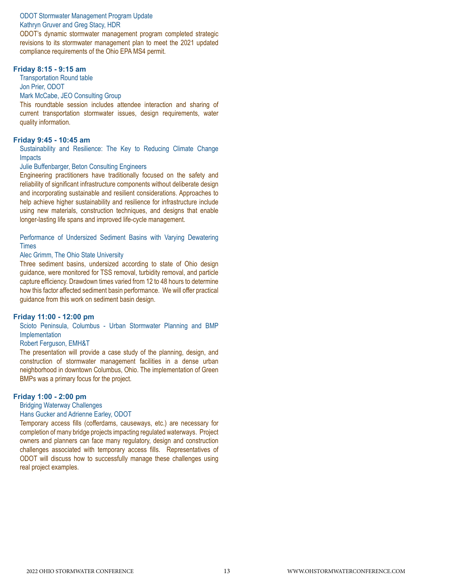### ODOT Stormwater Management Program Update

Kathryn Gruver and Greg Stacy, HDR

ODOT's dynamic stormwater management program completed strategic revisions to its stormwater management plan to meet the 2021 updated compliance requirements of the Ohio EPA MS4 permit.

#### **Friday 8:15 - 9:15 am**

Transportation Round table Jon Prier, ODOT Mark McCabe, JEO Consulting Group This roundtable session includes attendee interaction and sharing of current transportation stormwater issues, design requirements, water quality information.

#### **Friday 9:45 - 10:45 am**

Sustainability and Resilience: The Key to Reducing Climate Change Impacts

Julie Buffenbarger, Beton Consulting Engineers

Engineering practitioners have traditionally focused on the safety and reliability of significant infrastructure components without deliberate design and incorporating sustainable and resilient considerations. Approaches to help achieve higher sustainability and resilience for infrastructure include using new materials, construction techniques, and designs that enable longer-lasting life spans and improved life-cycle management.

Performance of Undersized Sediment Basins with Varying Dewatering Times

Alec Grimm, The Ohio State University

Three sediment basins, undersized according to state of Ohio design guidance, were monitored for TSS removal, turbidity removal, and particle capture efficiency. Drawdown times varied from 12 to 48 hours to determine how this factor affected sediment basin performance. We will offer practical guidance from this work on sediment basin design.

#### **Friday 11:00 - 12:00 pm**

Scioto Peninsula, Columbus - Urban Stormwater Planning and BMP Implementation

Robert Ferguson, EMH&T

The presentation will provide a case study of the planning, design, and construction of stormwater management facilities in a dense urban neighborhood in downtown Columbus, Ohio. The implementation of Green BMPs was a primary focus for the project.

#### **Friday 1:00 - 2:00 pm**

Bridging Waterway Challenges

Hans Gucker and Adrienne Earley, ODOT

Temporary access fills (cofferdams, causeways, etc.) are necessary for completion of many bridge projects impacting regulated waterways. Project owners and planners can face many regulatory, design and construction challenges associated with temporary access fills. Representatives of ODOT will discuss how to successfully manage these challenges using real project examples.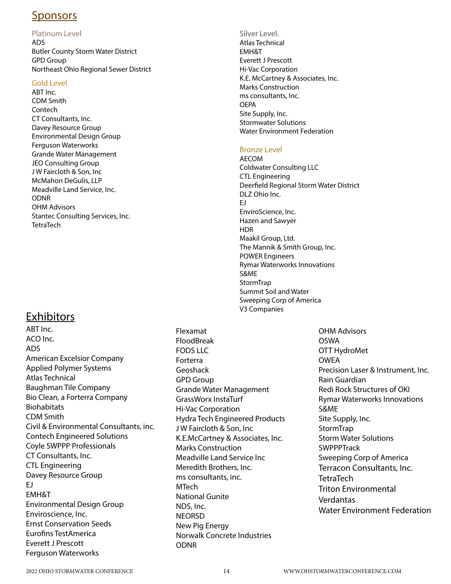# Sponsors

Platinum Level ADS Butler County Storm Water District GPD Group Northeast Ohio Regional Sewer District

#### Gold Level

ABT Inc. CDM Smith **Contech** CT Consultants, Inc. Davey Resource Group Environmental Design Group Ferguson Waterworks Grande Water Management JEO Consulting Group J W Faircloth & Son, Inc McMahon DeGulis, LLP Meadville Land Service, Inc. ODNR OHM Advisors Stantec Consulting Services, Inc. **TetraTech** 

## **Exhibitors**

ABT Inc. ACO Inc. ADS American Excelsior Company Applied Polymer Systems Atlas Technical Baughman Tile Company Bio Clean, a Forterra Company **Biohabitats** CDM Smith Civil & Environmental Consultants, inc. Contech Engineered Solutions Coyle SWPPP Professionals CT Consultants, Inc. CTL Engineering Davey Resource Group EJ EMH&T Environmental Design Group Enviroscience, Inc. Ernst Conservation Seeds Eurofins TestAmerica Everett J Prescott Ferguson Waterworks

Silver Level. Atlas Technical EMH&T Everett J Prescott Hi-Vac Corporation K.E. McCartney & Associates, Inc. Marks Construction ms consultants, Inc. OEPA Site Supply, Inc. Stormwater Solutions Water Environment Federation

#### Bronze Level

AECOM Coldwater Consulting LLC CTL Engineering Deerfield Regional Storm Water District DLZ Ohio Inc. EJ EnviroScience, Inc. Hazen and Sawyer HDR Maakil Group, Ltd. The Mannik & Smith Group, Inc. POWER Engineers Rymar Waterworks Innovations S&ME StormTrap Summit Soil and Water Sweeping Corp of America V3 Companies

Flexamat FloodBreak FODS LLC Forterra Geoshack GPD Group Grande Water Management GrassWorx InstaTurf Hi-Vac Corporation Hydra Tech Engineered Products J W Faircloth & Son, Inc K.E.McCartney & Associates, Inc. Marks Construction Meadville Land Service Inc Meredith Brothers, Inc. ms consultants, inc. MTech National Gunite NDS, Inc. **NEORSD** New Pig Energy Norwalk Concrete Industries ODNR

OHM Advisors OSWA OTT HydroMet OWEA Precision Laser & Instrument, Inc. Rain Guardian Redi Rock Structures of OKI Rymar Waterworks Innovations S&ME Site Supply, Inc. **StormTrap** Storm Water Solutions **SWPPPTrack** Sweeping Corp of America Terracon Consultants, Inc. **TetraTech** Triton Environmental Verdantas Water Environment Federation